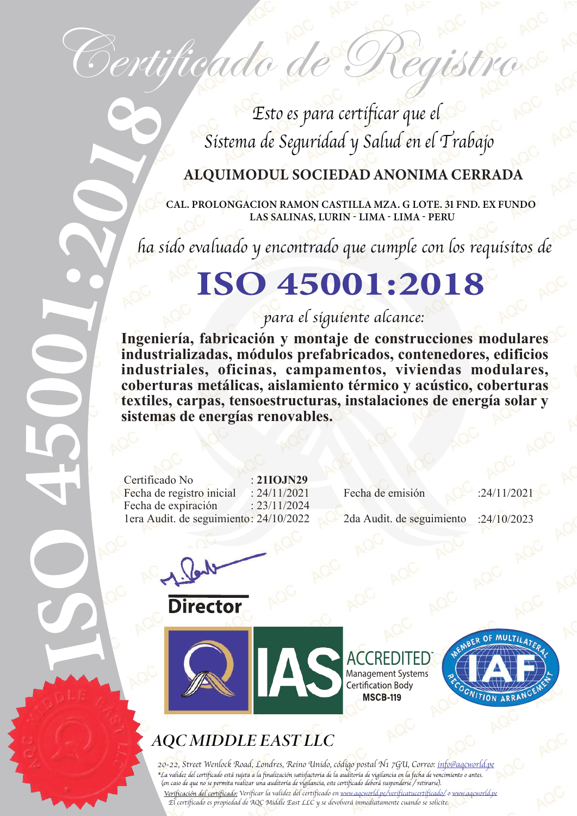Esto es para certificar que el Sistema de Seguridad y Salud en el Trabajo

Certificado de Registr

#### ALQUIMODUL SOCIEDAD ANONIMA CERRADA

CAL. PROLONGACION RAMON CASTILLA MZA. G LOTE. 31 FND. EX FUNDO LAS SALINAS, LURIN - LIMA - LIMA - PERU

ha sido evaluado y encontrado que cumple con los requisitos de

## ISO 45001:2018

#### para el siguiente alcance:

**Ingeniería, fabricación y montaje de construcciones modulares industrializadas, módulos prefabricados, contenedores, edificios industriales, oficinas, campamentos, viviendas modulares, coberturas metálicas, aislamiento térmico y acústico, coberturas textiles, carpas, tensoestructuras, instalaciones de energía solar y sistemas de energías renovables.**

Certificado No : **21IOJN29** Fecha de expiración : 23/11/2024 1era Audit. de seguimiento: 24/10/2022 2da Audit. de seguimiento : :24/10/2023

**Director** 

Fecha de registro inicial : 24/11/2021 Fecha de emisión :24/11/2021

OF MULTII

**NITION ARRA** 

**ACCREDITED** Management Systems

**MSCB-119** 

**AQC MIDDLE EAST LLC** 

20-22, Street Wenlock Road, Londres, Reino Unido, código postal N1 7GU, Correo: info@aqcworld.pe<br>\*La validez del certificado está sujeta a la finalización satisfactoria de la auditoria de vigilancia en la fecha de vencimie (en caso de que no se permita realizar una auditoría de vigilancia, este certificado deberá suspenderse / retirarse). Verificación del certificado: Verificar la validez del certificado en www.aqcworld.pe/verificatucertificado/ o www.aqcworld.pe El certificado es propiedad de AQC Middle East LLC y se devolverá inmediatamente cuando se solicite.